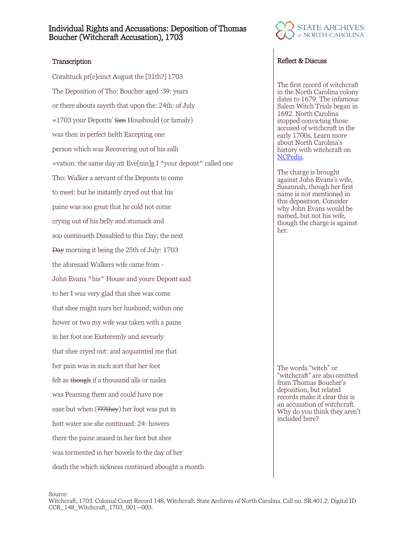## Individual Rights and Accusations: Deposition of Thomas Boucher (Witchcraft Accusation), 1703

Corahtuck pr[e]cinct August the [31th?] 1703 The Deposition of Tho: Boucher aged :39: years or there abouts sayeth that upon the: 24th: of July  $=1703$  your Deponts' fam Houshould (or famaly) was then in perfect helth Excepting one person which was Recovering out of his salli =vation: the same day att Eve[nin]g I  $\gamma$ your depont $\gamma$  called one Tho: Walker a servant of the Deponts to come to meet: but he instantly cryed out that his paine was soo great that he cold not come crying out of his belly and stumack and soo continueth Dissabled to this Day; the next Day morning it being the 25th of July: 1703 the aforesaid Walkers wife came from - John Evans ^his^ House and youre Depont said to her I was very glad that shee was come that shee might nurs her husbund; within one hower or two my wife was taken with a paine in her foot soe Exsteremly and sevearly that shee cryed out: and acquainted me that her pain was in such sort that her foot felt as though if a thousand alls or nailes was Pearsing them and could have noe ease but when (???they) her foot was put in hott water soe she continued: 24: howers there the paine seased in her foot but shee was tormented in her bowels to the day of her death the which sickness continued abought a month



### Transcription Reflect & Discuss

The first record of witchcraft in the North Carolina colony dates to 1679. The infamous Salem Witch Trials began in 1692. North Carolina stopped convicting those accused of witchcraft in the early 1700s. Learn more about North Carolina's history with witchcraft on [NCPedia.](https://www.ncpedia.org/witchcraft)

The charge is brought against John Evans's wife, Susannah, though her first name is not mentioned in this deposition. Consider why John Evans would be named, but not his wife, though the charge is against her.

The words "witch" or "witchcraft" are also omitted from Thomas Boucher's deposition, but related records make it clear this is an accusation of witchcraft. Why do you think they aren't included here?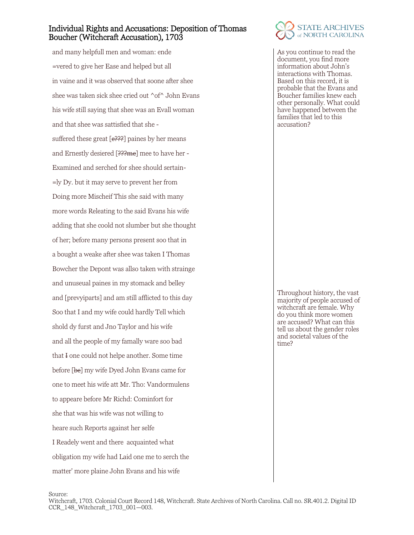## Individual Rights and Accusations: Deposition of Thomas Boucher (Witchcraft Accusation), 1703

and many helpfull men and woman: ende =vered to give her Ease and helped but all in vaine and it was observed that soone after shee shee was taken sick shee cried out ^of^ John Evans his wife still saying that shee was an Evall woman and that shee was sattisfied that she suffered these great  $[e^{2},]$  paines by her means and Ernestly desiered [???me] mee to have her -Examined and serched for shee should sertain- =ly Dy. but it may serve to prevent her from Doing more Mischeif This she said with many more words Releating to the said Evans his wife adding that she coold not slumber but she thought of her; before many persons present soo that in a bought a weake after shee was taken I Thomas Bowcher the Depont was allso taken with strainge and unuseual paines in my stomack and belley and [prevyiparts] and am still afflicted to this day Soo that I and my wife could hardly Tell which shold dy furst and Jno Taylor and his wife and all the people of my famally ware soo bad that I one could not helpe another. Some time before [be] my wife Dyed John Evans came for one to meet his wife att Mr. Tho: Vandormulens to appeare before Mr Richd: Cominfort for she that was his wife was not willing to heare such Reports against her selfe I Readely went and there acquainted what obligation my wife had Laid one me to serch the matter' more plaine John Evans and his wife



As you continue to read the document, you find more information about John's interactions with Thomas. Based on this record, it is probable that the Evans and Boucher families knew each other personally. What could have happened between the families that led to this accusation?

Throughout history, the vast majority of people accused of witchcraft are female. Why do you think more women are accused? What can this tell us about the gender roles and societal values of the time?

Source: Witchcraft, 1703. Colonial Court Record 148, Witchcraft. State Archives of North Carolina. Call no. SR.401.2. Digital ID CCR\_148\_Witchcraft\_1703\_001—003.